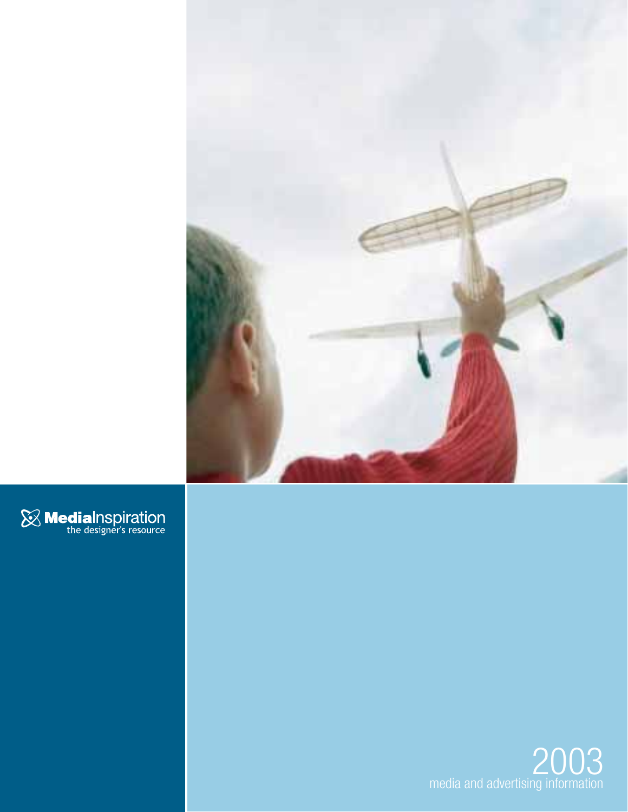



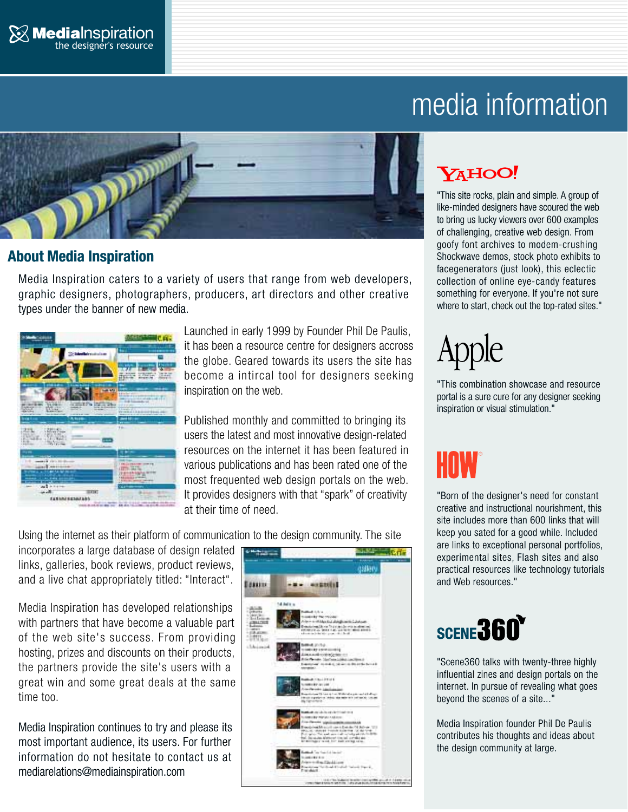

# media information



# **About Media Inspiration**

Media Inspiration caters to a variety of users that range from web developers, graphic designers, photographers, producers, art directors and other creative types under the banner of new media.



Launched in early 1999 by Founder Phil De Paulis, it has been a resource centre for designers accross the globe. Geared towards its users the site has become a intircal tool for designers seeking inspiration on the web.

Published monthly and committed to bringing its users the latest and most innovative design-related resources on the internet it has been featured in various publications and has been rated one of the most frequented web design portals on the web. It provides designers with that "spark" of creativity at their time of need.

Using the internet as their platform of communication to the design community. The site

incorporates a large database of design related links, galleries, book reviews, product reviews, and a live chat appropriately titled: "Interact".

Media Inspiration has developed relationships with partners that have become a valuable part of the web site's success. From providing hosting, prizes and discounts on their products, the partners provide the site's users with a great win and some great deals at the same time too.

Media Inspiration continues to try and please its most important audience, its users. For further information do not hesitate to contact us at mediarelations@mediainspiration.com



# YAHOO!

"This site rocks, plain and simple. A group of like-minded designers have scoured the web to bring us lucky viewers over 600 examples of challenging, creative web design. From goofy font archives to modem-crushing Shockwave demos, stock photo exhibits to facegenerators (just look), this eclectic collection of online eye-candy features something for everyone. If you're not sure where to start, check out the top-rated sites."

# pple

"This combination showcase and resource portal is a sure cure for any designer seeking inspiration or visual stimulation."

"Born of the designer's need for constant creative and instructional nourishment, this site includes more than 600 links that will keep you sated for a good while. Included are links to exceptional personal portfolios, experimental sites, Flash sites and also practical resources like technology tutorials and Web resources."

# **SCENE 360**

"Scene360 talks with twenty-three highly influential zines and design portals on the internet. In pursue of revealing what goes beyond the scenes of a site..."

Media Inspiration founder Phil De Paulis contributes his thoughts and ideas about the design community at large.